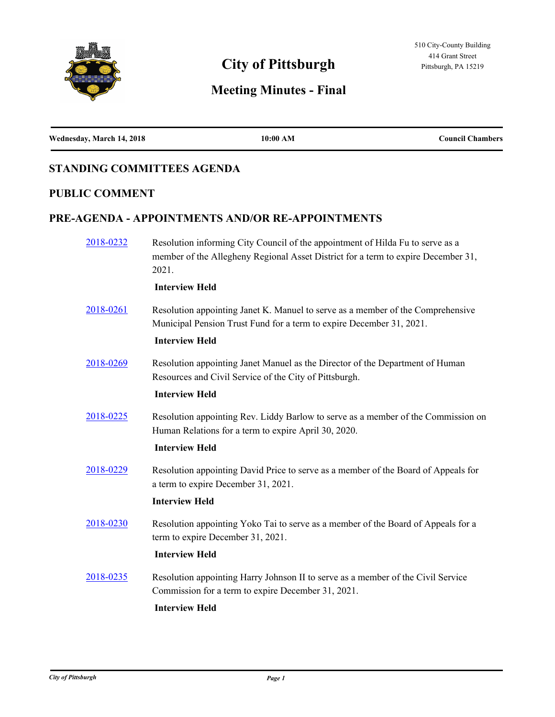

# **Meeting Minutes - Final**

| Wednesday, March 14, 2018 | 10:00 AM | <b>Council Chambers</b> |
|---------------------------|----------|-------------------------|

# **STANDING COMMITTEES AGENDA**

# **PUBLIC COMMENT**

# **PRE-AGENDA - APPOINTMENTS AND/OR RE-APPOINTMENTS**

| 2018-0232 | Resolution informing City Council of the appointment of Hilda Fu to serve as a<br>member of the Allegheny Regional Asset District for a term to expire December 31,<br>2021.     |
|-----------|----------------------------------------------------------------------------------------------------------------------------------------------------------------------------------|
|           | <b>Interview Held</b>                                                                                                                                                            |
| 2018-0261 | Resolution appointing Janet K. Manuel to serve as a member of the Comprehensive<br>Municipal Pension Trust Fund for a term to expire December 31, 2021.<br><b>Interview Held</b> |
| 2018-0269 | Resolution appointing Janet Manuel as the Director of the Department of Human<br>Resources and Civil Service of the City of Pittsburgh.<br><b>Interview Held</b>                 |
| 2018-0225 | Resolution appointing Rev. Liddy Barlow to serve as a member of the Commission on<br>Human Relations for a term to expire April 30, 2020.<br><b>Interview Held</b>               |
| 2018-0229 | Resolution appointing David Price to serve as a member of the Board of Appeals for<br>a term to expire December 31, 2021.<br><b>Interview Held</b>                               |
| 2018-0230 | Resolution appointing Yoko Tai to serve as a member of the Board of Appeals for a<br>term to expire December 31, 2021.<br><b>Interview Held</b>                                  |
| 2018-0235 | Resolution appointing Harry Johnson II to serve as a member of the Civil Service<br>Commission for a term to expire December 31, 2021.<br><b>Interview Held</b>                  |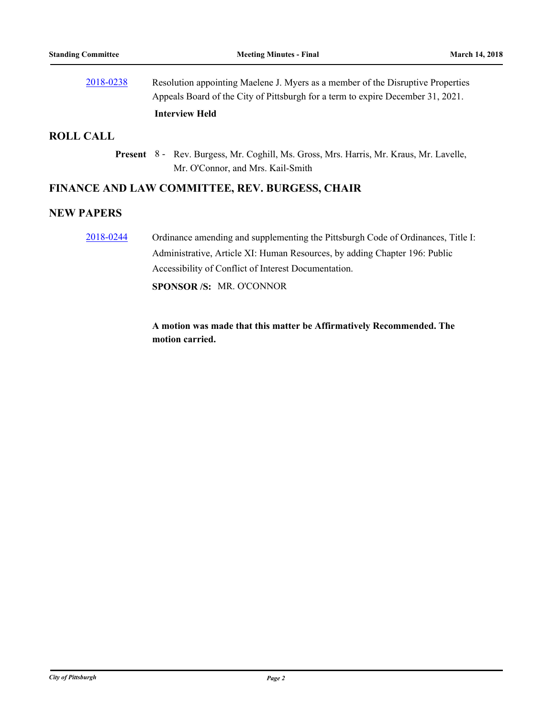| 2018-0238 | Resolution appointing Maelene J. Myers as a member of the Disruptive Properties |
|-----------|---------------------------------------------------------------------------------|
|           | Appeals Board of the City of Pittsburgh for a term to expire December 31, 2021. |
|           | <b>Interview Held</b>                                                           |

#### **ROLL CALL**

Present 8 - Rev. Burgess, Mr. Coghill, Ms. Gross, Mrs. Harris, Mr. Kraus, Mr. Lavelle, Mr. O'Connor, and Mrs. Kail-Smith

#### **FINANCE AND LAW COMMITTEE, REV. BURGESS, CHAIR**

#### **NEW PAPERS**

[2018-0244](http://pittsburgh.legistar.com/gateway.aspx?m=l&id=/matter.aspx?key=22543) Ordinance amending and supplementing the Pittsburgh Code of Ordinances, Title I: Administrative, Article XI: Human Resources, by adding Chapter 196: Public Accessibility of Conflict of Interest Documentation.

**SPONSOR /S:** MR. O'CONNOR

**A motion was made that this matter be Affirmatively Recommended. The motion carried.**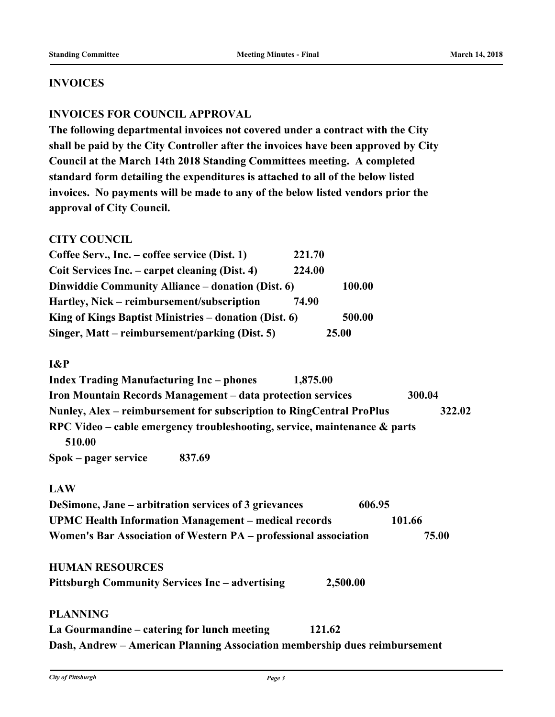#### **INVOICES**

## **INVOICES FOR COUNCIL APPROVAL**

**The following departmental invoices not covered under a contract with the City shall be paid by the City Controller after the invoices have been approved by City Council at the March 14th 2018 Standing Committees meeting. A completed standard form detailing the expenditures is attached to all of the below listed invoices. No payments will be made to any of the below listed vendors prior the approval of City Council.** 

#### **CITY COUNCIL**

| Coffee Serv., Inc. – coffee service (Dist. 1)         | 221.70 |
|-------------------------------------------------------|--------|
| Coit Services Inc. – carpet cleaning (Dist. 4)        | 224.00 |
| Dinwiddie Community Alliance – donation (Dist. 6)     | 100.00 |
| Hartley, Nick – reimbursement/subscription            | 74.90  |
| King of Kings Baptist Ministries – donation (Dist. 6) | 500.00 |
| Singer, Matt – reimbursement/parking (Dist. 5)        | 25.00  |

#### **I&P**

| <b>Index Trading Manufacturing Inc</b> – phones |                                                                           | 1,875.00 |        |
|-------------------------------------------------|---------------------------------------------------------------------------|----------|--------|
|                                                 | Iron Mountain Records Management – data protection services               |          | 300.04 |
|                                                 | Nunley, Alex – reimbursement for subscription to RingCentral ProPlus      |          | 322.02 |
|                                                 | RPC Video – cable emergency troubleshooting, service, maintenance & parts |          |        |
| 510.00                                          |                                                                           |          |        |
| Spok – pager service                            | 837.69                                                                    |          |        |

## **LAW**

| DeSimone, Jane – arbitration services of 3 grievances            | 606.95 |
|------------------------------------------------------------------|--------|
| UPMC Health Information Management – medical records             | 101.66 |
| Women's Bar Association of Western PA – professional association | 75.00  |

#### **HUMAN RESOURCES**

| <b>Pittsburgh Community Services Inc - advertising</b> | 2,500.00 |
|--------------------------------------------------------|----------|
|--------------------------------------------------------|----------|

#### **PLANNING**

**La Gourmandine – catering for lunch meeting 121.62 Dash, Andrew – American Planning Association membership dues reimbursement**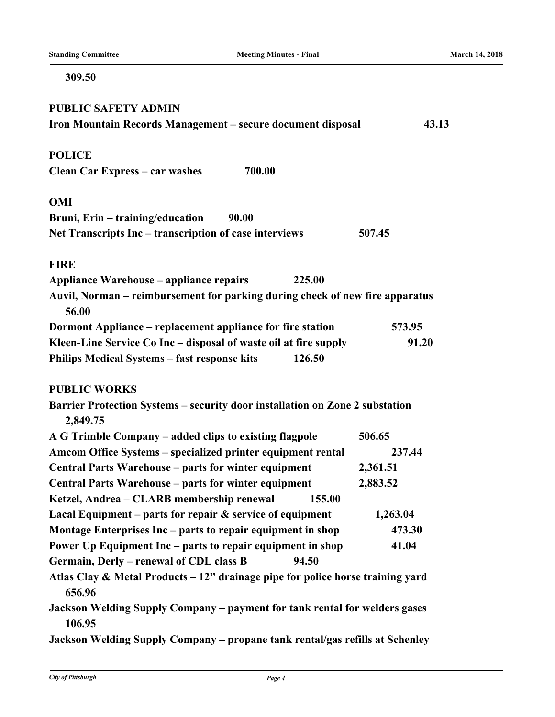#### **309.50**

| <b>PUBLIC SAFETY ADMIN</b>                                                               |          |
|------------------------------------------------------------------------------------------|----------|
| Iron Mountain Records Management – secure document disposal                              | 43.13    |
| <b>POLICE</b>                                                                            |          |
| 700.00<br><b>Clean Car Express - car washes</b>                                          |          |
| <b>OMI</b>                                                                               |          |
| Bruni, Erin – training/education<br><b>90.00</b>                                         |          |
| Net Transcripts Inc – transcription of case interviews                                   | 507.45   |
| <b>FIRE</b>                                                                              |          |
| <b>Appliance Warehouse - appliance repairs</b><br>225.00                                 |          |
| Auvil, Norman – reimbursement for parking during check of new fire apparatus<br>56.00    |          |
| Dormont Appliance - replacement appliance for fire station                               | 573.95   |
| Kleen-Line Service Co Inc - disposal of waste oil at fire supply                         | 91.20    |
| <b>Philips Medical Systems - fast response kits</b><br>126.50                            |          |
| <b>PUBLIC WORKS</b>                                                                      |          |
| Barrier Protection Systems - security door installation on Zone 2 substation<br>2,849.75 |          |
| A G Trimble Company – added clips to existing flagpole                                   | 506.65   |
| Amcom Office Systems - specialized printer equipment rental                              | 237.44   |
| Central Parts Warehouse - parts for winter equipment                                     | 2,361.51 |
| Central Parts Warehouse - parts for winter equipment                                     | 2,883.52 |
| Ketzel, Andrea - CLARB membership renewal<br>155.00                                      |          |
| Lacal Equipment – parts for repair $\&$ service of equipment                             | 1,263.04 |
| Montage Enterprises Inc – parts to repair equipment in shop                              | 473.30   |
| Power Up Equipment Inc - parts to repair equipment in shop                               | 41.04    |
| Germain, Derly - renewal of CDL class B<br>94.50                                         |          |
| Atlas Clay & Metal Products - 12" drainage pipe for police horse training yard<br>656.96 |          |
| Jackson Welding Supply Company - payment for tank rental for welders gases<br>106.95     |          |
| Jackson Welding Supply Company - propane tank rental/gas refills at Schenley             |          |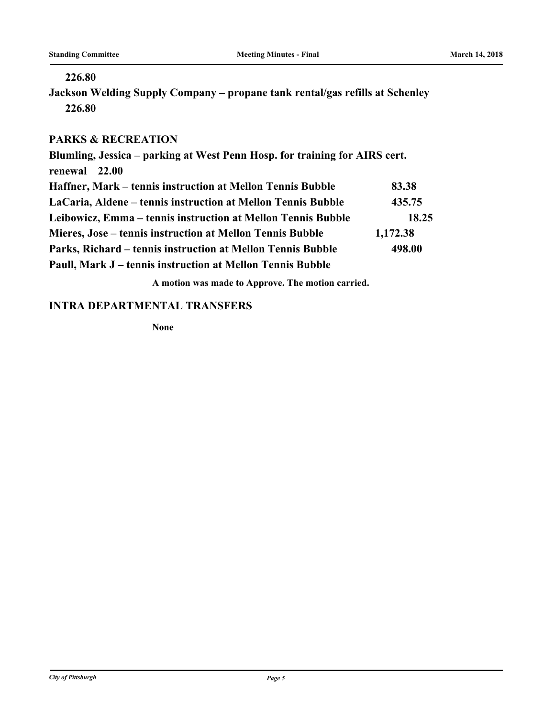#### **226.80**

**Jackson Welding Supply Company – propane tank rental/gas refills at Schenley 226.80**

# **PARKS & RECREATION**

**Blumling, Jessica – parking at West Penn Hosp. for training for AIRS cert. renewal 22.00 Haffner, Mark – tennis instruction at Mellon Tennis Bubble 83.38 LaCaria, Aldene – tennis instruction at Mellon Tennis Bubble 435.75 Leibowicz, Emma – tennis instruction at Mellon Tennis Bubble 18.25 Mieres, Jose – tennis instruction at Mellon Tennis Bubble 1,172.38 Parks, Richard – tennis instruction at Mellon Tennis Bubble 498.00 Paull, Mark J – tennis instruction at Mellon Tennis Bubble**

**A motion was made to Approve. The motion carried.**

## **INTRA DEPARTMENTAL TRANSFERS**

**None**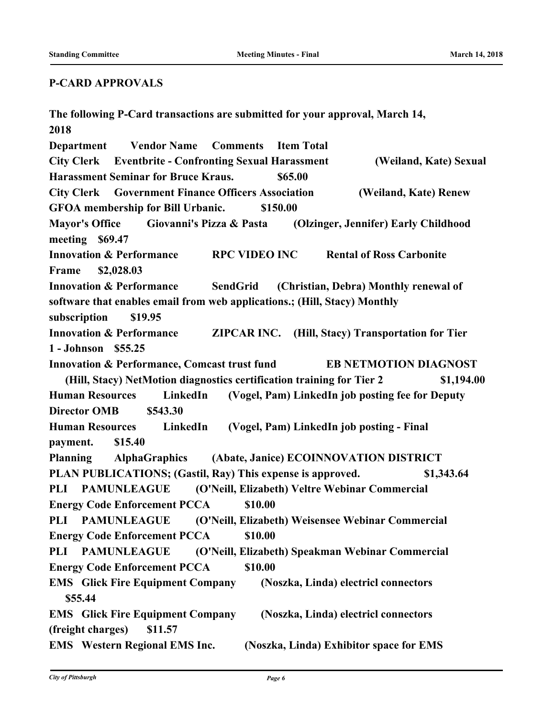#### **P-CARD APPROVALS**

**The following P-Card transactions are submitted for your approval, March 14, 2018 Department Vendor Name Comments Item Total City Clerk Eventbrite - Confronting Sexual Harassment (Weiland, Kate) Sexual Harassment Seminar for Bruce Kraus. \$65.00 City Clerk Government Finance Officers Association (Weiland, Kate) Renew GFOA membership for Bill Urbanic. \$150.00 Mayor's Office Giovanni's Pizza & Pasta (Olzinger, Jennifer) Early Childhood meeting \$69.47 Innovation & Performance RPC VIDEO INC Rental of Ross Carbonite Frame \$2,028.03 Innovation & Performance SendGrid (Christian, Debra) Monthly renewal of software that enables email from web applications.; (Hill, Stacy) Monthly subscription \$19.95 Innovation & Performance ZIPCAR INC. (Hill, Stacy) Transportation for Tier 1 - Johnson \$55.25 Innovation & Performance, Comcast trust fund EB NETMOTION DIAGNOST (Hill, Stacy) NetMotion diagnostics certification training for Tier 2 \$1,194.00 Human Resources LinkedIn (Vogel, Pam) LinkedIn job posting fee for Deputy Director OMB \$543.30 Human Resources LinkedIn (Vogel, Pam) LinkedIn job posting - Final payment. \$15.40 Planning AlphaGraphics (Abate, Janice) ECOINNOVATION DISTRICT PLAN PUBLICATIONS; (Gastil, Ray) This expense is approved. \$1,343.64 PLI PAMUNLEAGUE (O'Neill, Elizabeth) Veltre Webinar Commercial Energy Code Enforcement PCCA \$10.00 PLI PAMUNLEAGUE (O'Neill, Elizabeth) Weisensee Webinar Commercial Energy Code Enforcement PCCA \$10.00 PLI PAMUNLEAGUE (O'Neill, Elizabeth) Speakman Webinar Commercial Energy Code Enforcement PCCA \$10.00 EMS Glick Fire Equipment Company (Noszka, Linda) electricl connectors \$55.44 EMS Glick Fire Equipment Company (Noszka, Linda) electricl connectors (freight charges) \$11.57 EMS Western Regional EMS Inc. (Noszka, Linda) Exhibitor space for EMS**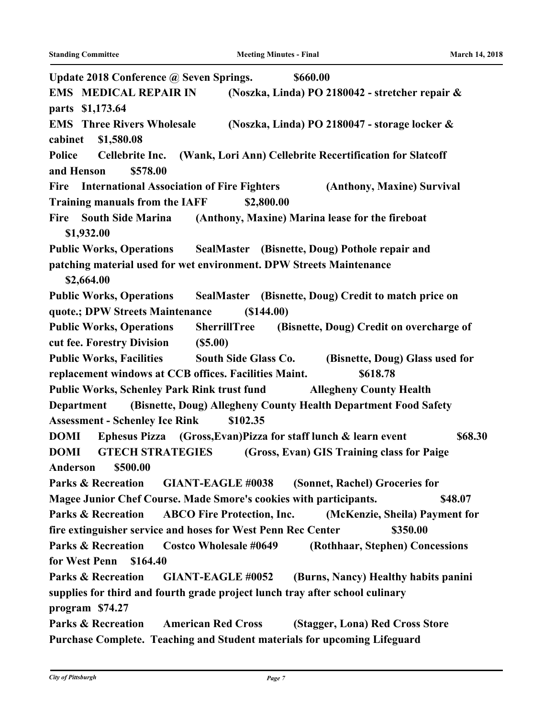| Update 2018 Conference @ Seven Springs.<br>\$660.00                                                      |
|----------------------------------------------------------------------------------------------------------|
| <b>EMS MEDICAL REPAIR IN</b><br>(Noszka, Linda) PO 2180042 - stretcher repair &                          |
| parts \$1,173.64                                                                                         |
| <b>EMS</b> Three Rivers Wholesale<br>(Noszka, Linda) PO 2180047 - storage locker &                       |
| cabinet<br>\$1,580.08                                                                                    |
| <b>Police</b><br>Cellebrite Inc. (Wank, Lori Ann) Cellebrite Recertification for Slatcoff                |
| \$578.00<br>and Henson                                                                                   |
| Fire International Association of Fire Fighters<br>(Anthony, Maxine) Survival                            |
| <b>Training manuals from the IAFF</b><br>\$2,800.00                                                      |
| (Anthony, Maxine) Marina lease for the fireboat<br><b>Fire</b><br><b>South Side Marina</b><br>\$1,932.00 |
| Public Works, Operations SealMaster (Bisnette, Doug) Pothole repair and                                  |
| patching material used for wet environment. DPW Streets Maintenance                                      |
| \$2,664.00                                                                                               |
| <b>Public Works, Operations</b><br>SealMaster (Bisnette, Doug) Credit to match price on                  |
| (\$144.00)<br>quote.; DPW Streets Maintenance                                                            |
| <b>Public Works, Operations</b><br><b>SherrillTree</b><br>(Bisnette, Doug) Credit on overcharge of       |
| cut fee. Forestry Division<br>(S5.00)                                                                    |
| Public Works, Facilities South Side Glass Co. (Bisnette, Doug) Glass used for                            |
| replacement windows at CCB offices. Facilities Maint.<br>\$618.78                                        |
| Public Works, Schenley Park Rink trust fund Allegheny County Health                                      |
| (Bisnette, Doug) Allegheny County Health Department Food Safety<br><b>Department</b>                     |
| <b>Assessment - Schenley Ice Rink</b><br>\$102.35                                                        |
| Ephesus Pizza (Gross, Evan) Pizza for staff lunch & learn event<br>\$68.30<br><b>DOMI</b>                |
| <b>DOMI</b><br><b>GTECH STRATEGIES</b><br>(Gross, Evan) GIS Training class for Paige                     |
| \$500.00<br>Anderson                                                                                     |
| <b>GIANT-EAGLE #0038</b><br>(Sonnet, Rachel) Groceries for<br><b>Parks &amp; Recreation</b>              |
| Magee Junior Chef Course. Made Smore's cookies with participants.<br>\$48.07                             |
| <b>ABCO Fire Protection, Inc.</b><br><b>Parks &amp; Recreation</b><br>(McKenzie, Sheila) Payment for     |
| fire extinguisher service and hoses for West Penn Rec Center<br>\$350.00                                 |
| <b>Parks &amp; Recreation</b><br><b>Costco Wholesale #0649</b><br>(Rothhaar, Stephen) Concessions        |
| for West Penn<br>\$164.40                                                                                |
| <b>Parks &amp; Recreation</b><br><b>GIANT-EAGLE #0052</b><br>(Burns, Nancy) Healthy habits panini        |
| supplies for third and fourth grade project lunch tray after school culinary                             |
| program \$74.27                                                                                          |
| <b>Parks &amp; Recreation</b><br><b>American Red Cross</b><br>(Stagger, Lona) Red Cross Store            |
| Purchase Complete. Teaching and Student materials for upcoming Lifeguard                                 |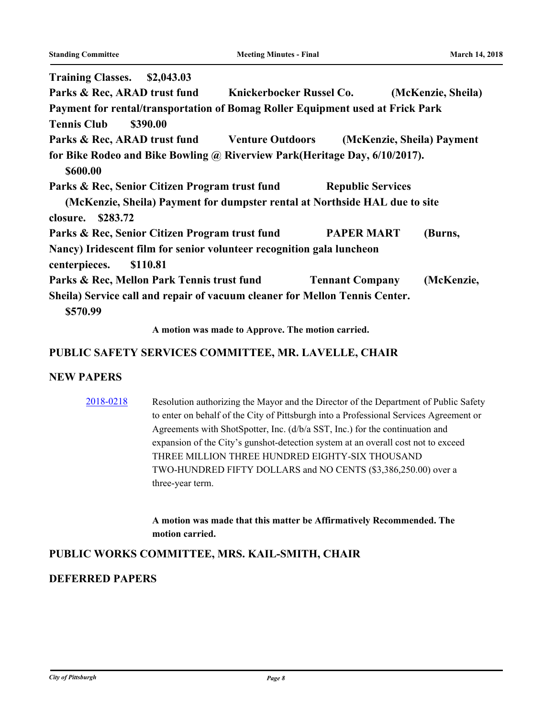| Training Classes. \$2,043.03                                                                                                  |                          |                            |
|-------------------------------------------------------------------------------------------------------------------------------|--------------------------|----------------------------|
| Parks & Rec, ARAD trust fund Knickerbocker Russel Co.                                                                         |                          | (McKenzie, Sheila)         |
| Payment for rental/transportation of Bomag Roller Equipment used at Frick Park                                                |                          |                            |
| <b>Tennis Club</b><br>\$390.00                                                                                                |                          |                            |
| Parks & Rec, ARAD trust fund Venture Outdoors                                                                                 |                          | (McKenzie, Sheila) Payment |
| for Bike Rodeo and Bike Bowling @ Riverview Park (Heritage Day, 6/10/2017).<br>\$600.00                                       |                          |                            |
| Parks & Rec, Senior Citizen Program trust fund<br>(McKenzie, Sheila) Payment for dumpster rental at Northside HAL due to site | <b>Republic Services</b> |                            |
| \$283.72<br>closure.                                                                                                          |                          |                            |
| Parks & Rec, Senior Citizen Program trust fund                                                                                | <b>PAPER MART</b>        | (Burns,                    |
| Nancy) Iridescent film for senior volunteer recognition gala luncheon<br>\$110.81<br>centerpieces.                            |                          |                            |
| Parks & Rec, Mellon Park Tennis trust fund                                                                                    | <b>Tennant Company</b>   | (McKenzie,                 |
| Sheila) Service call and repair of vacuum cleaner for Mellon Tennis Center.<br>\$570.99                                       |                          |                            |

**A motion was made to Approve. The motion carried.**

### **PUBLIC SAFETY SERVICES COMMITTEE, MR. LAVELLE, CHAIR**

#### **NEW PAPERS**

[2018-0218](http://pittsburgh.legistar.com/gateway.aspx?m=l&id=/matter.aspx?key=22517) Resolution authorizing the Mayor and the Director of the Department of Public Safety to enter on behalf of the City of Pittsburgh into a Professional Services Agreement or Agreements with ShotSpotter, Inc. (d/b/a SST, Inc.) for the continuation and expansion of the City's gunshot-detection system at an overall cost not to exceed THREE MILLION THREE HUNDRED EIGHTY-SIX THOUSAND TWO-HUNDRED FIFTY DOLLARS and NO CENTS (\$3,386,250.00) over a three-year term.

> **A motion was made that this matter be Affirmatively Recommended. The motion carried.**

# **PUBLIC WORKS COMMITTEE, MRS. KAIL-SMITH, CHAIR**

# **DEFERRED PAPERS**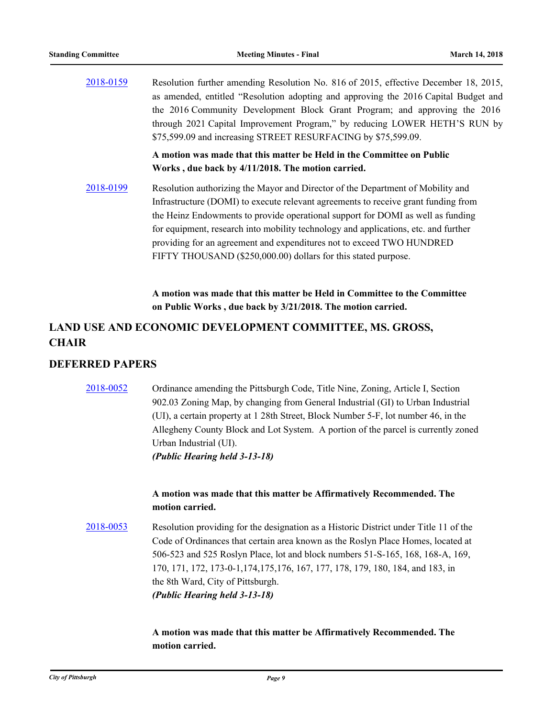|           | A motion was made that this matter be Held in the Committee on Public                |
|-----------|--------------------------------------------------------------------------------------|
|           | \$75,599.09 and increasing STREET RESURFACING by \$75,599.09.                        |
|           | through 2021 Capital Improvement Program," by reducing LOWER HETH'S RUN by           |
|           | the 2016 Community Development Block Grant Program; and approving the 2016           |
|           | as amended, entitled "Resolution adopting and approving the 2016 Capital Budget and  |
| 2018-0159 | Resolution further amending Resolution No. 816 of 2015, effective December 18, 2015, |

**Works , due back by 4/11/2018. The motion carried.**

[2018-0199](http://pittsburgh.legistar.com/gateway.aspx?m=l&id=/matter.aspx?key=22498) Resolution authorizing the Mayor and Director of the Department of Mobility and Infrastructure (DOMI) to execute relevant agreements to receive grant funding from the Heinz Endowments to provide operational support for DOMI as well as funding for equipment, research into mobility technology and applications, etc. and further providing for an agreement and expenditures not to exceed TWO HUNDRED FIFTY THOUSAND (\$250,000.00) dollars for this stated purpose.

> **A motion was made that this matter be Held in Committee to the Committee on Public Works , due back by 3/21/2018. The motion carried.**

# **LAND USE AND ECONOMIC DEVELOPMENT COMMITTEE, MS. GROSS, CHAIR**

#### **DEFERRED PAPERS**

# [2018-0052](http://pittsburgh.legistar.com/gateway.aspx?m=l&id=/matter.aspx?key=22351) Ordinance amending the Pittsburgh Code, Title Nine, Zoning, Article I, Section 902.03 Zoning Map, by changing from General Industrial (GI) to Urban Industrial (UI), a certain property at 1 28th Street, Block Number 5-F, lot number 46, in the Allegheny County Block and Lot System. A portion of the parcel is currently zoned Urban Industrial (UI). *(Public Hearing held 3-13-18)*

#### **A motion was made that this matter be Affirmatively Recommended. The motion carried.**

[2018-0053](http://pittsburgh.legistar.com/gateway.aspx?m=l&id=/matter.aspx?key=22352) Resolution providing for the designation as a Historic District under Title 11 of the Code of Ordinances that certain area known as the Roslyn Place Homes, located at 506-523 and 525 Roslyn Place, lot and block numbers 51-S-165, 168, 168-A, 169, 170, 171, 172, 173-0-1,174,175,176, 167, 177, 178, 179, 180, 184, and 183, in the 8th Ward, City of Pittsburgh. *(Public Hearing held 3-13-18)*

> **A motion was made that this matter be Affirmatively Recommended. The motion carried.**